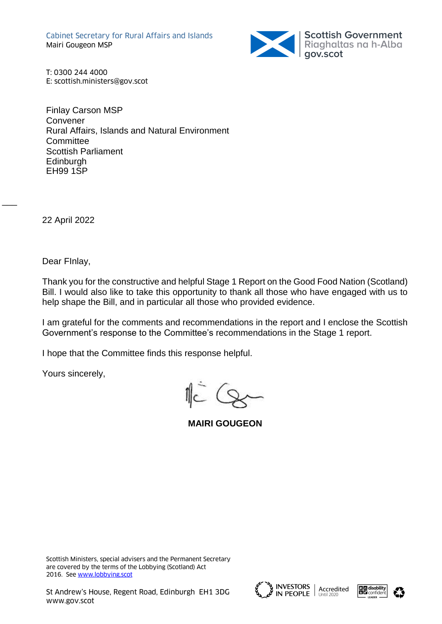Cabinet Secretary for Rural Affairs and Islands Mairi Gougeon MSP



T: 0300 244 4000 E: scottish.ministers@gov.scot

Finlay Carson MSP Convener Rural Affairs, Islands and Natural Environment **Committee** Scottish Parliament **Edinburgh** EH99 1SP

22 April 2022

 $\overline{\phantom{a}}$ 

Dear FInlay,

Thank you for the constructive and helpful Stage 1 Report on the Good Food Nation (Scotland) Bill. I would also like to take this opportunity to thank all those who have engaged with us to help shape the Bill, and in particular all those who provided evidence.

I am grateful for the comments and recommendations in the report and I enclose the Scottish Government's response to the Committee's recommendations in the Stage 1 report.

I hope that the Committee finds this response helpful.

Yours sincerely,

**MAIRI GOUGEON**





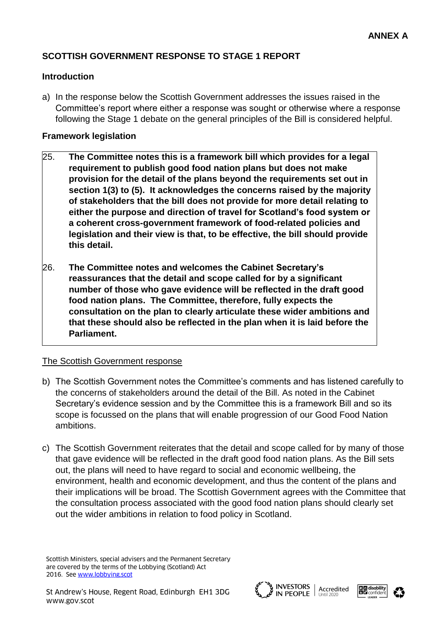# **SCOTTISH GOVERNMENT RESPONSE TO STAGE 1 REPORT**

## **Introduction**

a) In the response below the Scottish Government addresses the issues raised in the Committee's report where either a response was sought or otherwise where a response following the Stage 1 debate on the general principles of the Bill is considered helpful.

## **Framework legislation**

- 25. **The Committee notes this is a framework bill which provides for a legal requirement to publish good food nation plans but does not make provision for the detail of the plans beyond the requirements set out in section 1(3) to (5). It acknowledges the concerns raised by the majority of stakeholders that the bill does not provide for more detail relating to either the purpose and direction of travel for Scotland's food system or a coherent cross-government framework of food-related policies and legislation and their view is that, to be effective, the bill should provide this detail.**
- 26. **The Committee notes and welcomes the Cabinet Secretary's reassurances that the detail and scope called for by a significant number of those who gave evidence will be reflected in the draft good food nation plans. The Committee, therefore, fully expects the consultation on the plan to clearly articulate these wider ambitions and that these should also be reflected in the plan when it is laid before the Parliament.**

# The Scottish Government response

- b) The Scottish Government notes the Committee's comments and has listened carefully to the concerns of stakeholders around the detail of the Bill. As noted in the Cabinet Secretary's evidence session and by the Committee this is a framework Bill and so its scope is focussed on the plans that will enable progression of our Good Food Nation ambitions.
- c) The Scottish Government reiterates that the detail and scope called for by many of those that gave evidence will be reflected in the draft good food nation plans. As the Bill sets out, the plans will need to have regard to social and economic wellbeing, the environment, health and economic development, and thus the content of the plans and their implications will be broad. The Scottish Government agrees with the Committee that the consultation process associated with the good food nation plans should clearly set out the wider ambitions in relation to food policy in Scotland.





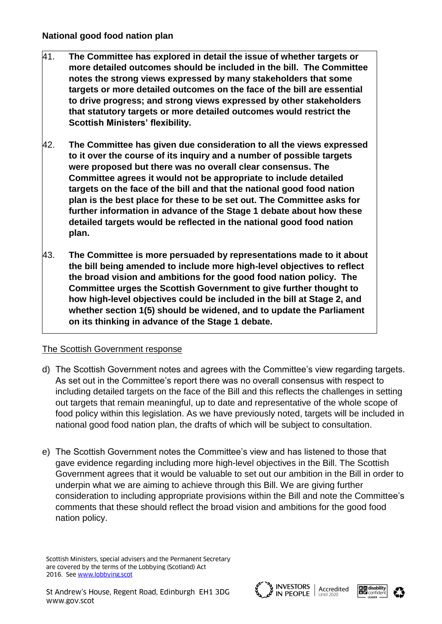- 41. **The Committee has explored in detail the issue of whether targets or more detailed outcomes should be included in the bill. The Committee notes the strong views expressed by many stakeholders that some targets or more detailed outcomes on the face of the bill are essential to drive progress; and strong views expressed by other stakeholders that statutory targets or more detailed outcomes would restrict the Scottish Ministers' flexibility.**
- 42. **The Committee has given due consideration to all the views expressed to it over the course of its inquiry and a number of possible targets were proposed but there was no overall clear consensus. The Committee agrees it would not be appropriate to include detailed targets on the face of the bill and that the national good food nation plan is the best place for these to be set out. The Committee asks for further information in advance of the Stage 1 debate about how these detailed targets would be reflected in the national good food nation plan.**
- 43. **The Committee is more persuaded by representations made to it about the bill being amended to include more high-level objectives to reflect the broad vision and ambitions for the good food nation policy. The Committee urges the Scottish Government to give further thought to how high-level objectives could be included in the bill at Stage 2, and whether section 1(5) should be widened, and to update the Parliament on its thinking in advance of the Stage 1 debate.**

- d) The Scottish Government notes and agrees with the Committee's view regarding targets. As set out in the Committee's report there was no overall consensus with respect to including detailed targets on the face of the Bill and this reflects the challenges in setting out targets that remain meaningful, up to date and representative of the whole scope of food policy within this legislation. As we have previously noted, targets will be included in national good food nation plan, the drafts of which will be subject to consultation.
- e) The Scottish Government notes the Committee's view and has listened to those that gave evidence regarding including more high-level objectives in the Bill. The Scottish Government agrees that it would be valuable to set out our ambition in the Bill in order to underpin what we are aiming to achieve through this Bill. We are giving further consideration to including appropriate provisions within the Bill and note the Committee's comments that these should reflect the broad vision and ambitions for the good food nation policy.





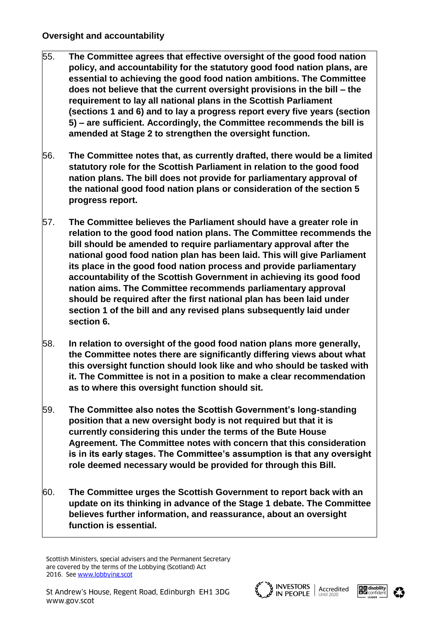- 55. **The Committee agrees that effective oversight of the good food nation policy, and accountability for the statutory good food nation plans, are essential to achieving the good food nation ambitions. The Committee does not believe that the current oversight provisions in the bill – the requirement to lay all national plans in the Scottish Parliament (sections 1 and 6) and to lay a progress report every five years (section 5) – are sufficient. Accordingly, the Committee recommends the bill is amended at Stage 2 to strengthen the oversight function.**
- 56. **The Committee notes that, as currently drafted, there would be a limited statutory role for the Scottish Parliament in relation to the good food nation plans. The bill does not provide for parliamentary approval of the national good food nation plans or consideration of the section 5 progress report.**
- 57. **The Committee believes the Parliament should have a greater role in relation to the good food nation plans. The Committee recommends the bill should be amended to require parliamentary approval after the national good food nation plan has been laid. This will give Parliament its place in the good food nation process and provide parliamentary accountability of the Scottish Government in achieving its good food nation aims. The Committee recommends parliamentary approval should be required after the first national plan has been laid under section 1 of the bill and any revised plans subsequently laid under section 6.**
- 58. **In relation to oversight of the good food nation plans more generally, the Committee notes there are significantly differing views about what this oversight function should look like and who should be tasked with it. The Committee is not in a position to make a clear recommendation as to where this oversight function should sit.**
- 59. **The Committee also notes the Scottish Government's long-standing position that a new oversight body is not required but that it is currently considering this under the terms of the Bute House Agreement. The Committee notes with concern that this consideration is in its early stages. The Committee's assumption is that any oversight role deemed necessary would be provided for through this Bill.**
- 60. **The Committee urges the Scottish Government to report back with an update on its thinking in advance of the Stage 1 debate. The Committee believes further information, and reassurance, about an oversight function is essential.**







Scottish Ministers, special advisers and the Permanent Secretary are covered by the terms of the Lobbying (Scotland) Act 2016. See [www.lobbying.scot](http://www.lobbying.scot/)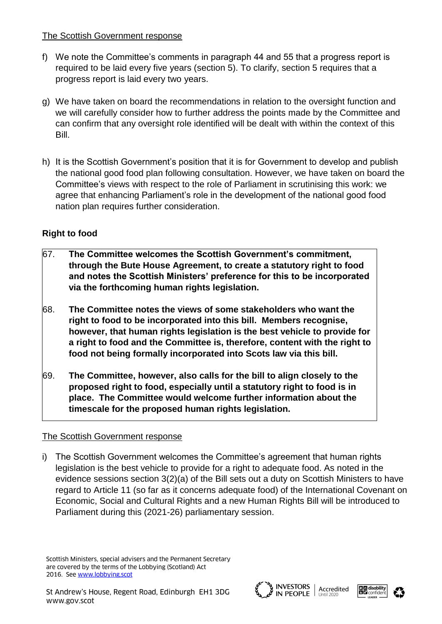- f) We note the Committee's comments in paragraph 44 and 55 that a progress report is required to be laid every five years (section 5). To clarify, section 5 requires that a progress report is laid every two years.
- g) We have taken on board the recommendations in relation to the oversight function and we will carefully consider how to further address the points made by the Committee and can confirm that any oversight role identified will be dealt with within the context of this Bill.
- h) It is the Scottish Government's position that it is for Government to develop and publish the national good food plan following consultation. However, we have taken on board the Committee's views with respect to the role of Parliament in scrutinising this work: we agree that enhancing Parliament's role in the development of the national good food nation plan requires further consideration.

# **Right to food**

- 67. **The Committee welcomes the Scottish Government's commitment, through the Bute House Agreement, to create a statutory right to food and notes the Scottish Ministers' preference for this to be incorporated via the forthcoming human rights legislation.**
- 68. **The Committee notes the views of some stakeholders who want the right to food to be incorporated into this bill. Members recognise, however, that human rights legislation is the best vehicle to provide for a right to food and the Committee is, therefore, content with the right to food not being formally incorporated into Scots law via this bill.**
- 69. **The Committee, however, also calls for the bill to align closely to the proposed right to food, especially until a statutory right to food is in place. The Committee would welcome further information about the timescale for the proposed human rights legislation.**

# The Scottish Government response

i) The Scottish Government welcomes the Committee's agreement that human rights legislation is the best vehicle to provide for a right to adequate food. As noted in the evidence sessions section 3(2)(a) of the Bill sets out a duty on Scottish Ministers to have regard to Article 11 (so far as it concerns adequate food) of the International Covenant on Economic, Social and Cultural Rights and a new Human Rights Bill will be introduced to Parliament during this (2021-26) parliamentary session.





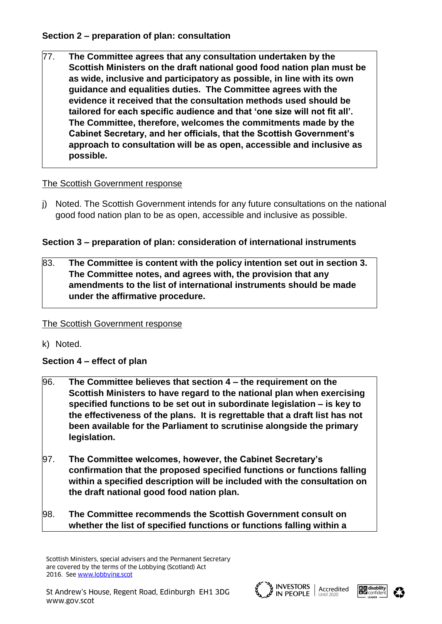# **Section 2 – preparation of plan: consultation**

77. **The Committee agrees that any consultation undertaken by the Scottish Ministers on the draft national good food nation plan must be as wide, inclusive and participatory as possible, in line with its own guidance and equalities duties. The Committee agrees with the evidence it received that the consultation methods used should be tailored for each specific audience and that 'one size will not fit all'. The Committee, therefore, welcomes the commitments made by the Cabinet Secretary, and her officials, that the Scottish Government's approach to consultation will be as open, accessible and inclusive as possible.**

# The Scottish Government response

j) Noted. The Scottish Government intends for any future consultations on the national good food nation plan to be as open, accessible and inclusive as possible.

# **Section 3 – preparation of plan: consideration of international instruments**

# 83. **The Committee is content with the policy intention set out in section 3. The Committee notes, and agrees with, the provision that any amendments to the list of international instruments should be made under the affirmative procedure.**

# The Scottish Government response

k) Noted.

# **Section 4 – effect of plan**

- 96. **The Committee believes that section 4 – the requirement on the Scottish Ministers to have regard to the national plan when exercising specified functions to be set out in subordinate legislation – is key to the effectiveness of the plans. It is regrettable that a draft list has not been available for the Parliament to scrutinise alongside the primary legislation.**
- 97. **The Committee welcomes, however, the Cabinet Secretary's confirmation that the proposed specified functions or functions falling within a specified description will be included with the consultation on the draft national good food nation plan.**
- 98. **The Committee recommends the Scottish Government consult on whether the list of specified functions or functions falling within a**





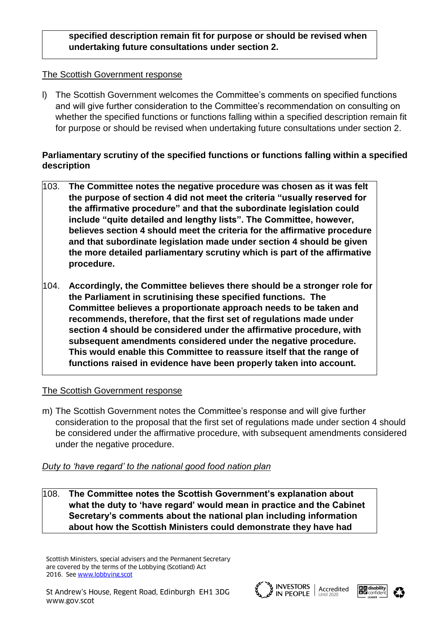# **specified description remain fit for purpose or should be revised when undertaking future consultations under section 2.**

## The Scottish Government response

l) The Scottish Government welcomes the Committee's comments on specified functions and will give further consideration to the Committee's recommendation on consulting on whether the specified functions or functions falling within a specified description remain fit for purpose or should be revised when undertaking future consultations under section 2.

# **Parliamentary scrutiny of the specified functions or functions falling within a specified description**

- 103. **The Committee notes the negative procedure was chosen as it was felt the purpose of section 4 did not meet the criteria "usually reserved for the affirmative procedure" and that the subordinate legislation could include "quite detailed and lengthy lists". The Committee, however, believes section 4 should meet the criteria for the affirmative procedure and that subordinate legislation made under section 4 should be given the more detailed parliamentary scrutiny which is part of the affirmative procedure.**
- 104. **Accordingly, the Committee believes there should be a stronger role for the Parliament in scrutinising these specified functions. The Committee believes a proportionate approach needs to be taken and recommends, therefore, that the first set of regulations made under section 4 should be considered under the affirmative procedure, with subsequent amendments considered under the negative procedure. This would enable this Committee to reassure itself that the range of functions raised in evidence have been properly taken into account.**

# The Scottish Government response

m) The Scottish Government notes the Committee's response and will give further consideration to the proposal that the first set of regulations made under section 4 should be considered under the affirmative procedure, with subsequent amendments considered under the negative procedure.

# *Duty to 'have regard' to the national good food nation plan*

108. **The Committee notes the Scottish Government's explanation about what the duty to 'have regard' would mean in practice and the Cabinet Secretary's comments about the national plan including information about how the Scottish Ministers could demonstrate they have had** 





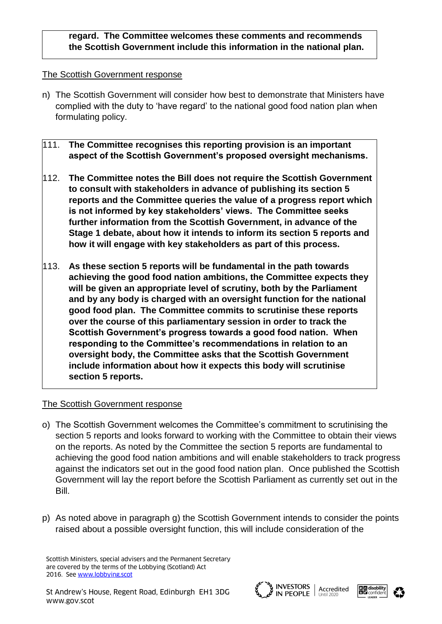# **regard. The Committee welcomes these comments and recommends the Scottish Government include this information in the national plan.**

#### The Scottish Government response

- n) The Scottish Government will consider how best to demonstrate that Ministers have complied with the duty to 'have regard' to the national good food nation plan when formulating policy.
- 111. **The Committee recognises this reporting provision is an important aspect of the Scottish Government's proposed oversight mechanisms.**
- 112. **The Committee notes the Bill does not require the Scottish Government to consult with stakeholders in advance of publishing its section 5 reports and the Committee queries the value of a progress report which is not informed by key stakeholders' views. The Committee seeks further information from the Scottish Government, in advance of the Stage 1 debate, about how it intends to inform its section 5 reports and how it will engage with key stakeholders as part of this process.**
- 113. **As these section 5 reports will be fundamental in the path towards achieving the good food nation ambitions, the Committee expects they will be given an appropriate level of scrutiny, both by the Parliament and by any body is charged with an oversight function for the national good food plan. The Committee commits to scrutinise these reports over the course of this parliamentary session in order to track the Scottish Government's progress towards a good food nation. When responding to the Committee's recommendations in relation to an oversight body, the Committee asks that the Scottish Government include information about how it expects this body will scrutinise section 5 reports.**

# The Scottish Government response

- o) The Scottish Government welcomes the Committee's commitment to scrutinising the section 5 reports and looks forward to working with the Committee to obtain their views on the reports. As noted by the Committee the section 5 reports are fundamental to achieving the good food nation ambitions and will enable stakeholders to track progress against the indicators set out in the good food nation plan. Once published the Scottish Government will lay the report before the Scottish Parliament as currently set out in the Bill.
- p) As noted above in paragraph g) the Scottish Government intends to consider the points raised about a possible oversight function, this will include consideration of the





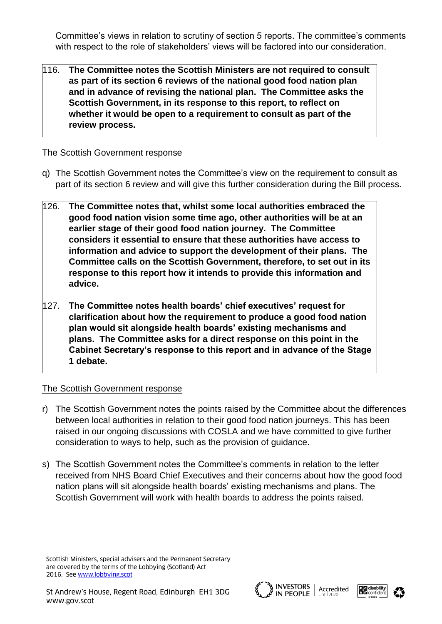Committee's views in relation to scrutiny of section 5 reports. The committee's comments with respect to the role of stakeholders' views will be factored into our consideration.

116. **The Committee notes the Scottish Ministers are not required to consult as part of its section 6 reviews of the national good food nation plan and in advance of revising the national plan. The Committee asks the Scottish Government, in its response to this report, to reflect on whether it would be open to a requirement to consult as part of the review process.**

## The Scottish Government response

- q) The Scottish Government notes the Committee's view on the requirement to consult as part of its section 6 review and will give this further consideration during the Bill process.
- 126. **The Committee notes that, whilst some local authorities embraced the good food nation vision some time ago, other authorities will be at an earlier stage of their good food nation journey. The Committee considers it essential to ensure that these authorities have access to information and advice to support the development of their plans. The Committee calls on the Scottish Government, therefore, to set out in its response to this report how it intends to provide this information and advice.**
- 127. **The Committee notes health boards' chief executives' request for clarification about how the requirement to produce a good food nation plan would sit alongside health boards' existing mechanisms and plans. The Committee asks for a direct response on this point in the Cabinet Secretary's response to this report and in advance of the Stage 1 debate.**

#### The Scottish Government response

- r) The Scottish Government notes the points raised by the Committee about the differences between local authorities in relation to their good food nation journeys. This has been raised in our ongoing discussions with COSLA and we have committed to give further consideration to ways to help, such as the provision of guidance.
- s) The Scottish Government notes the Committee's comments in relation to the letter received from NHS Board Chief Executives and their concerns about how the good food nation plans will sit alongside health boards' existing mechanisms and plans. The Scottish Government will work with health boards to address the points raised.







Scottish Ministers, special advisers and the Permanent Secretary are covered by the terms of the Lobbying (Scotland) Act 2016. See [www.lobbying.scot](http://www.lobbying.scot/)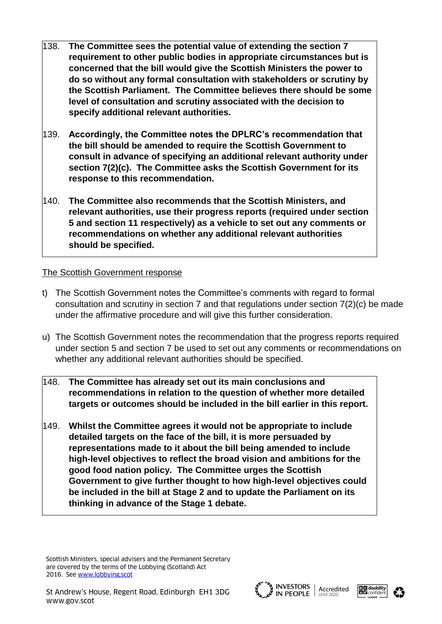- 138. **The Committee sees the potential value of extending the section 7 requirement to other public bodies in appropriate circumstances but is concerned that the bill would give the Scottish Ministers the power to do so without any formal consultation with stakeholders or scrutiny by the Scottish Parliament. The Committee believes there should be some level of consultation and scrutiny associated with the decision to specify additional relevant authorities.**
- 139. **Accordingly, the Committee notes the DPLRC's recommendation that the bill should be amended to require the Scottish Government to consult in advance of specifying an additional relevant authority under section 7(2)(c). The Committee asks the Scottish Government for its response to this recommendation.**
- 140. **The Committee also recommends that the Scottish Ministers, and relevant authorities, use their progress reports (required under section 5 and section 11 respectively) as a vehicle to set out any comments or recommendations on whether any additional relevant authorities should be specified.**

- t) The Scottish Government notes the Committee's comments with regard to formal consultation and scrutiny in section 7 and that regulations under section 7(2)(c) be made under the affirmative procedure and will give this further consideration.
- u) The Scottish Government notes the recommendation that the progress reports required under section 5 and section 7 be used to set out any comments or recommendations on whether any additional relevant authorities should be specified.
- 148. **The Committee has already set out its main conclusions and recommendations in relation to the question of whether more detailed targets or outcomes should be included in the bill earlier in this report.**
- 149. **Whilst the Committee agrees it would not be appropriate to include detailed targets on the face of the bill, it is more persuaded by representations made to it about the bill being amended to include high-level objectives to reflect the broad vision and ambitions for the good food nation policy. The Committee urges the Scottish Government to give further thought to how high-level objectives could be included in the bill at Stage 2 and to update the Parliament on its thinking in advance of the Stage 1 debate.**





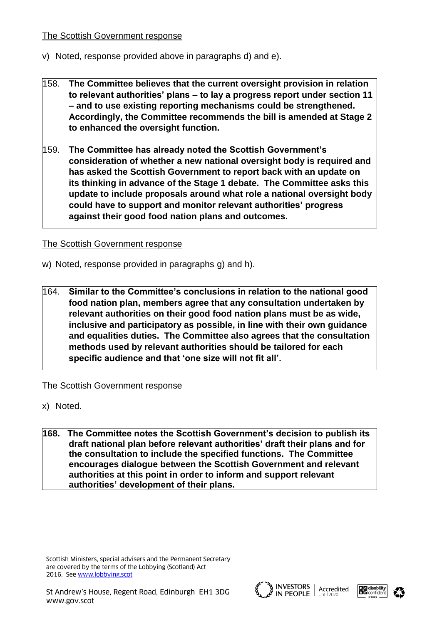- v) Noted, response provided above in paragraphs d) and e).
- 158. **The Committee believes that the current oversight provision in relation to relevant authorities' plans – to lay a progress report under section 11 – and to use existing reporting mechanisms could be strengthened. Accordingly, the Committee recommends the bill is amended at Stage 2 to enhanced the oversight function.**
- 159. **The Committee has already noted the Scottish Government's consideration of whether a new national oversight body is required and has asked the Scottish Government to report back with an update on its thinking in advance of the Stage 1 debate. The Committee asks this update to include proposals around what role a national oversight body could have to support and monitor relevant authorities' progress against their good food nation plans and outcomes.**

# The Scottish Government response

- w) Noted, response provided in paragraphs g) and h).
- 164. **Similar to the Committee's conclusions in relation to the national good food nation plan, members agree that any consultation undertaken by relevant authorities on their good food nation plans must be as wide, inclusive and participatory as possible, in line with their own guidance and equalities duties. The Committee also agrees that the consultation methods used by relevant authorities should be tailored for each specific audience and that 'one size will not fit all'.**

# The Scottish Government response

- x) Noted.
- **168. The Committee notes the Scottish Government's decision to publish its draft national plan before relevant authorities' draft their plans and for the consultation to include the specified functions. The Committee encourages dialogue between the Scottish Government and relevant authorities at this point in order to inform and support relevant authorities' development of their plans.**





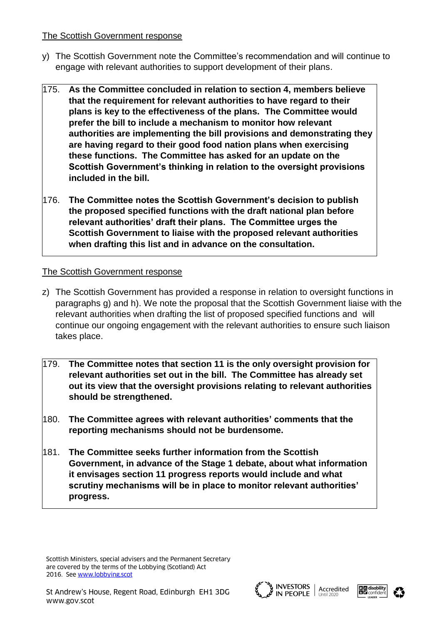- y) The Scottish Government note the Committee's recommendation and will continue to engage with relevant authorities to support development of their plans.
- 175. **As the Committee concluded in relation to section 4, members believe that the requirement for relevant authorities to have regard to their plans is key to the effectiveness of the plans. The Committee would prefer the bill to include a mechanism to monitor how relevant authorities are implementing the bill provisions and demonstrating they are having regard to their good food nation plans when exercising these functions. The Committee has asked for an update on the Scottish Government's thinking in relation to the oversight provisions included in the bill.**
- 176. **The Committee notes the Scottish Government's decision to publish the proposed specified functions with the draft national plan before relevant authorities' draft their plans. The Committee urges the Scottish Government to liaise with the proposed relevant authorities when drafting this list and in advance on the consultation.**

#### The Scottish Government response

- z) The Scottish Government has provided a response in relation to oversight functions in paragraphs g) and h). We note the proposal that the Scottish Government liaise with the relevant authorities when drafting the list of proposed specified functions and will continue our ongoing engagement with the relevant authorities to ensure such liaison takes place.
- 179. **The Committee notes that section 11 is the only oversight provision for relevant authorities set out in the bill. The Committee has already set out its view that the oversight provisions relating to relevant authorities should be strengthened.**
- 180. **The Committee agrees with relevant authorities' comments that the reporting mechanisms should not be burdensome.**
- 181. **The Committee seeks further information from the Scottish Government, in advance of the Stage 1 debate, about what information it envisages section 11 progress reports would include and what scrutiny mechanisms will be in place to monitor relevant authorities' progress.**





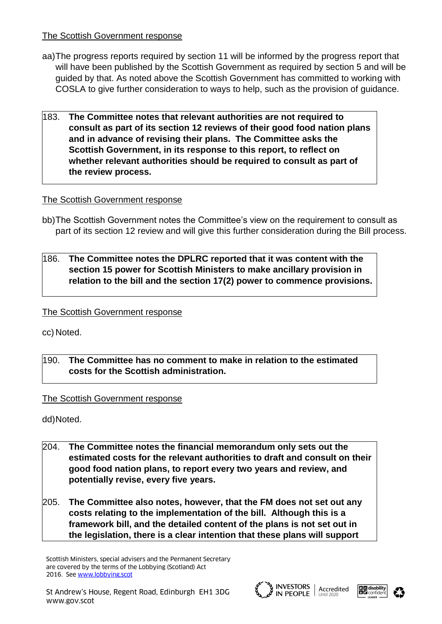- aa)The progress reports required by section 11 will be informed by the progress report that will have been published by the Scottish Government as required by section 5 and will be guided by that. As noted above the Scottish Government has committed to working with COSLA to give further consideration to ways to help, such as the provision of guidance.
- 183. **The Committee notes that relevant authorities are not required to consult as part of its section 12 reviews of their good food nation plans and in advance of revising their plans. The Committee asks the Scottish Government, in its response to this report, to reflect on whether relevant authorities should be required to consult as part of the review process.**

# The Scottish Government response

- bb)The Scottish Government notes the Committee's view on the requirement to consult as part of its section 12 review and will give this further consideration during the Bill process.
- 186. **The Committee notes the DPLRC reported that it was content with the section 15 power for Scottish Ministers to make ancillary provision in relation to the bill and the section 17(2) power to commence provisions.**

# The Scottish Government response

cc) Noted.

# 190. **The Committee has no comment to make in relation to the estimated costs for the Scottish administration.**

# The Scottish Government response

dd)Noted.

- 204. **The Committee notes the financial memorandum only sets out the estimated costs for the relevant authorities to draft and consult on their good food nation plans, to report every two years and review, and potentially revise, every five years.**
- 205. **The Committee also notes, however, that the FM does not set out any costs relating to the implementation of the bill. Although this is a framework bill, and the detailed content of the plans is not set out in the legislation, there is a clear intention that these plans will support**